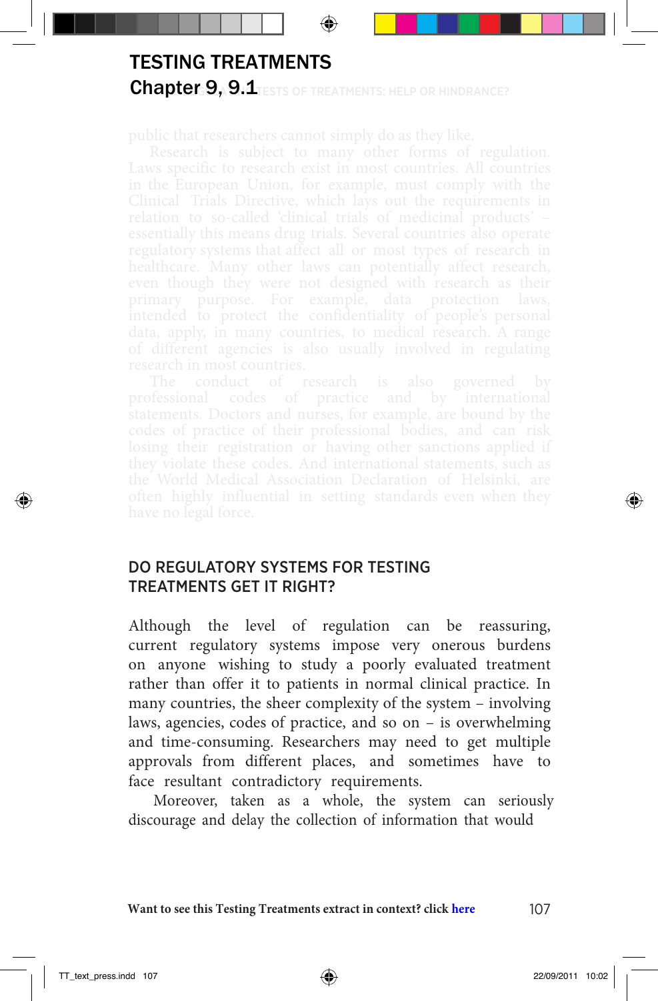# Chapter 9, 9.1 TESTS OF TREATMENTS: HELP OR HINDRANCE? TESTING TREATMENTS

### DO REGULATORY SYSTEMS FOR TESTING TREATMENTS GET IT RIGHT?

Although the level of regulation can be reassuring, current regulatory systems impose very onerous burdens on anyone wishing to study a poorly evaluated treatment rather than offer it to patients in normal clinical practice. In many countries, the sheer complexity of the system – involving laws, agencies, codes of practice, and so on – is overwhelming and time-consuming. Researchers may need to get multiple approvals from different places, and sometimes have to face resultant contradictory requirements.

Moreover, taken as a whole, the system can seriously discourage and delay the collection of information that would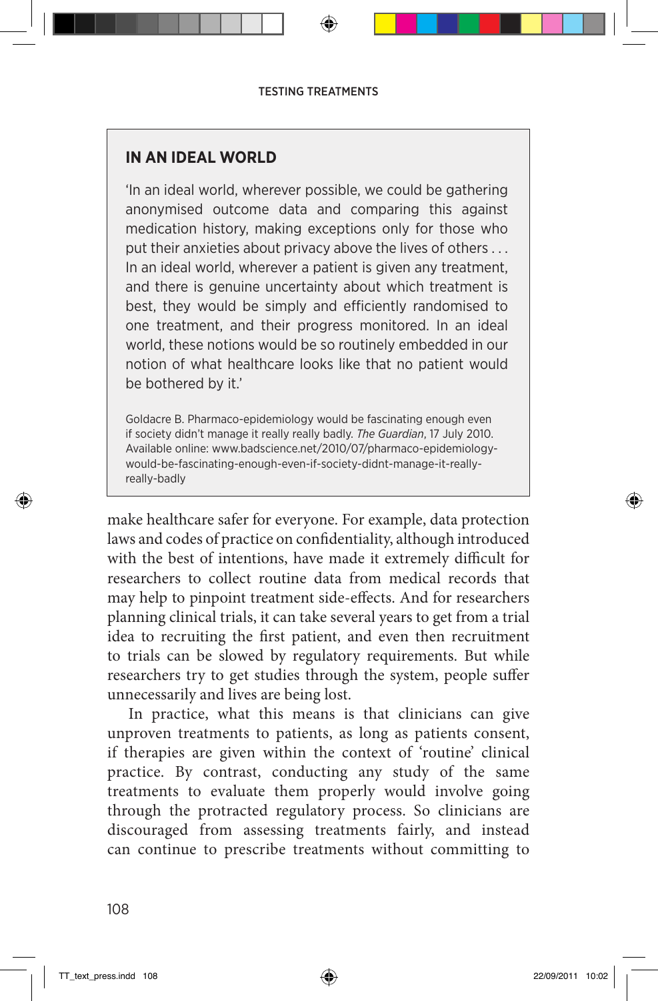## **IN AN IDEAL WORLD**

'In an ideal world, wherever possible, we could be gathering anonymised outcome data and comparing this against medication history, making exceptions only for those who put their anxieties about privacy above the lives of others . . . In an ideal world, wherever a patient is given any treatment, and there is genuine uncertainty about which treatment is best, they would be simply and efficiently randomised to one treatment, and their progress monitored. In an ideal world, these notions would be so routinely embedded in our notion of what healthcare looks like that no patient would be bothered by it.'

Goldacre B. Pharmaco-epidemiology would be fascinating enough even if society didn't manage it really really badly. *The Guardian*, 17 July 2010. Available online: www.badscience.net/2010/07/pharmaco-epidemiologywould-be-fascinating-enough-even-if-society-didnt-manage-it-reallyreally-badly

make healthcare safer for everyone. For example, data protection laws and codes of practice on confidentiality, although introduced with the best of intentions, have made it extremely difficult for researchers to collect routine data from medical records that may help to pinpoint treatment side-effects. And for researchers planning clinical trials, it can take several years to get from a trial idea to recruiting the first patient, and even then recruitment to trials can be slowed by regulatory requirements. But while researchers try to get studies through the system, people suffer unnecessarily and lives are being lost.

In practice, what this means is that clinicians can give unproven treatments to patients, as long as patients consent, if therapies are given within the context of 'routine' clinical practice. By contrast, conducting any study of the same treatments to evaluate them properly would involve going through the protracted regulatory process. So clinicians are discouraged from assessing treatments fairly, and instead can continue to prescribe treatments without committing to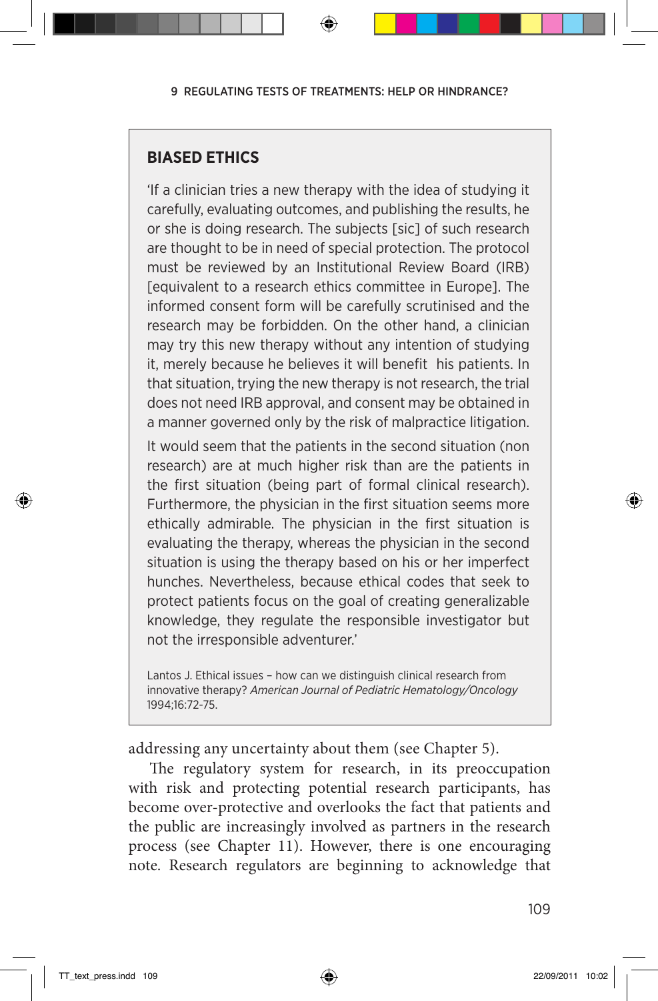## **BIASED ETHICS**

'If a clinician tries a new therapy with the idea of studying it carefully, evaluating outcomes, and publishing the results, he or she is doing research. The subjects [sic] of such research are thought to be in need of special protection. The protocol must be reviewed by an Institutional Review Board (IRB) [equivalent to a research ethics committee in Europe]. The informed consent form will be carefully scrutinised and the research may be forbidden. On the other hand, a clinician may try this new therapy without any intention of studying it, merely because he believes it will benefit his patients. In that situation, trying the new therapy is not research, the trial does not need IRB approval, and consent may be obtained in a manner governed only by the risk of malpractice litigation.

It would seem that the patients in the second situation (non research) are at much higher risk than are the patients in the first situation (being part of formal clinical research). Furthermore, the physician in the first situation seems more ethically admirable. The physician in the first situation is evaluating the therapy, whereas the physician in the second situation is using the therapy based on his or her imperfect hunches. Nevertheless, because ethical codes that seek to protect patients focus on the goal of creating generalizable knowledge, they regulate the responsible investigator but not the irresponsible adventurer.'

Lantos J. Ethical issues – how can we distinguish clinical research from innovative therapy? *American Journal of Pediatric Hematology/Oncology*  1994;16:72-75.

addressing any uncertainty about them (see Chapter 5).

The regulatory system for research, in its preoccupation with risk and protecting potential research participants, has become over-protective and overlooks the fact that patients and the public are increasingly involved as partners in the research process (see Chapter 11). However, there is one encouraging note. Research regulators are beginning to acknowledge that